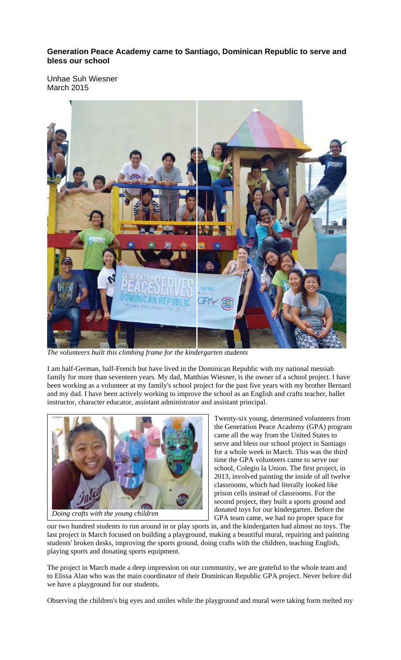## **Generation Peace Academy came to Santiago, Dominican Republic to serve and bless our school**

Unhae Suh Wiesner March 2015



*The volunteers built this climbing frame for the kindergarten students* 

I am half-German, half-French but have lived in the Dominican Republic with my national messiah family for more than seventeen years. My dad, Matthias Wiesner, is the owner of a school project. I have been working as a volunteer at my family's school project for the past five years with my brother Bernard and my dad. I have been actively working to improve the school as an English and crafts teacher, ballet instructor, character educator, assistant administrator and assistant principal.



*Doing crafts with the young children*

Twenty-six young, determined volunteers from the Generation Peace Academy (GPA) program came all the way from the United States to serve and bless our school project in Santiago for a whole week in March. This was the third time the GPA volunteers came to serve our school, Colegio la Union. The first project, in 2013, involved painting the inside of all twelve classrooms, which had literally looked like prison cells instead of classrooms. For the second project, they built a sports ground and donated toys for our kindergarten. Before the GPA team came, we had no proper space for

our two hundred students to run around in or play sports in, and the kindergarten had almost no toys. The last project in March focused on building a playground, making a beautiful mural, repairing and painting students' broken desks, improving the sports ground, doing crafts with the children, teaching English, playing sports and donating sports equipment.

The project in March made a deep impression on our community, we are grateful to the whole team and to Elissa Alan who was the main coordinator of their Dominican Republic GPA project. Never before did we have a playground for our students.

Observing the children's big eyes and smiles while the playground and mural were taking form melted my